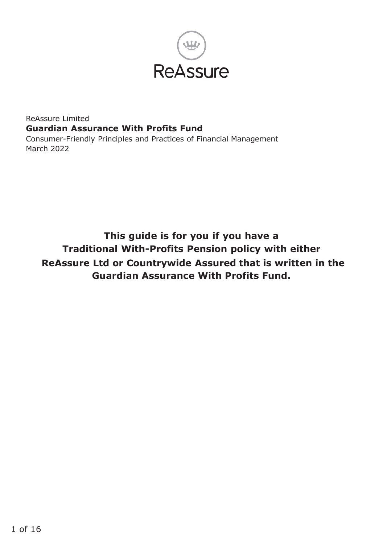

#### ReAssure Limited **Guardian Assurance With Profits Fund** Consumer-Friendly Principles and Practices of Financial Management March 2022

**This guide is for you if you have a Traditional With-Profits Pension policy with either ReAssure Ltd or Countrywide Assured that is written in the Guardian Assurance With Profits Fund.**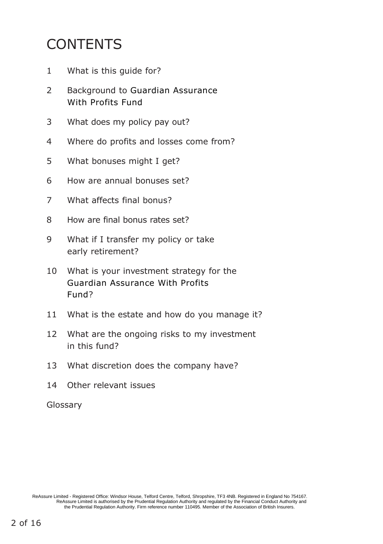## CONTENTS

- What is this guide for?
- Background to Guardian Assurance With Profits Fund
- What does my policy pay out?
- Where do profits and losses come from?
- What bonuses might I get?
- How are annual bonuses set?
- What affects final bonus?
- How are final bonus rates set?
- What if I transfer my policy or take early retirement?
- What is your investment strategy for the Guardian Assurance With Profits Fund?
- What is the estate and how do you manage it?
- What are the ongoing risks to my investment in this fund?
- What discretion does the company have?
- Other relevant issues

Glossary

ReAssure Limited - Registered Office: Windsor House, Telford Centre, Telford, Shropshire, TF3 4NB. Registered in England No 754167.<br>ReAssure Limited is authorised by the Pruddential Regulation Authority and regulated by th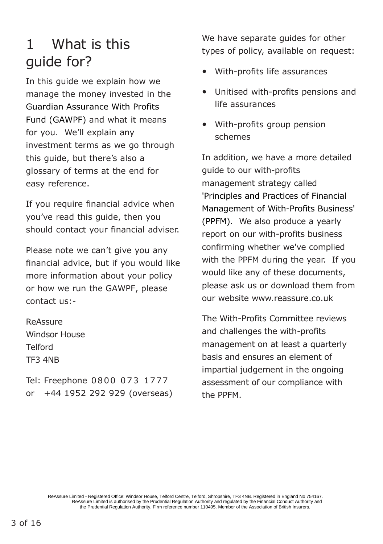#### 1 What is this guide for?

In this guide we explain how we manage the money invested in the Guardian Assurance With Profits Fund (GAWPF) and what it means for you. We'll explain any investment terms as we go through this guide, but there's also a glossary of terms at the end for easy reference.

If you require financial advice when you've read this guide, then you should contact your financial adviser.

Please note we can't give you any financial advice, but if you would like more information about your policy or how we run the GAWPF, please contact us:-

ReAssure Windsor House Telford TF3 4NB

Tel: Freephone 0800 073 1777 or +44 1952 292 929 (overseas) We have separate guides for other types of policy, available on request:

- With-profits life assurances
- Unitised with-profits pensions and life assurances
- With-profits group pension schemes

In addition, we have a more detailed guide to our with-profits management strategy called 'Principles and Practices of Financial Management of With-Profits Business' (PPFM). We also produce a yearly report on our with-profits business confirming whether we've complied with the PPFM during the year. If you would like any of these documents, please ask us or download them from our website [www.reassure.co.uk](http://www.reassure.co.uk/)

The With-Profits Committee reviews and challenges the with-profits management on at least a quarterly basis and ensures an element of impartial judgement in the ongoing assessment of our compliance with the PPFM.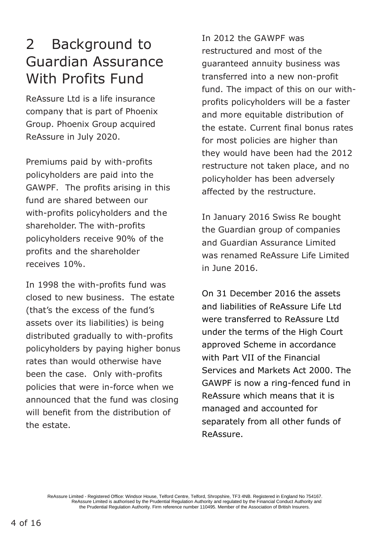#### 2 Background to Guardian Assurance With Profits Fund

ReAssure Ltd is a life insurance company that is part of Phoenix Group. Phoenix Group acquired ReAssure in July 2020.

Premiums paid by with-profits policyholders are paid into the GAWPF. The profits arising in this fund are shared between our with-profits policyholders and the shareholder. The with-profits policyholders receive 90% of the profits and the shareholder receives 10%.

In 1998 the with-profits fund was closed to new business. The estate (that's the excess of the fund's assets over its liabilities) is being distributed gradually to with-profits policyholders by paying higher bonus rates than would otherwise have been the case. Only with-profits policies that were in-force when we announced that the fund was closing will benefit from the distribution of the estate.

In 2012 the GAWPF was restructured and most of the guaranteed annuity business was transferred into a new non-profit fund. The impact of this on our withprofits policyholders will be a faster and more equitable distribution of the estate. Current final bonus rates for most policies are higher than they would have been had the 2012 restructure not taken place, and no policyholder has been adversely affected by the restructure.

In January 2016 Swiss Re bought the Guardian group of companies and Guardian Assurance Limited was renamed ReAssure Life Limited in June 2016.

On 31 December 2016 the assets and liabilities of ReAssure Life Ltd were transferred to ReAssure Ltd under the terms of the High Court approved Scheme in accordance with Part VII of the Financial Services and Markets Act 2000. The GAWPF is now a ring-fenced fund in ReAssure which means that it is managed and accounted for separately from all other funds of ReAssure.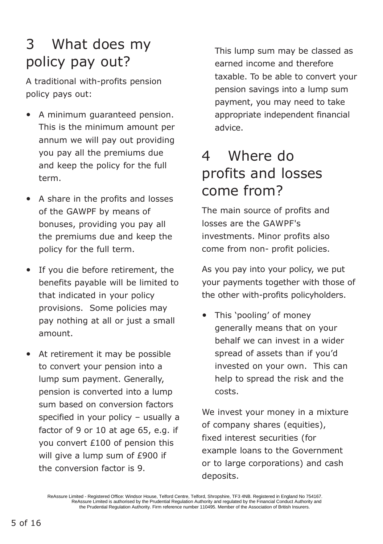## 3 What does my policy pay out?

A traditional with-profits pension policy pays out:

- A minimum guaranteed pension. This is the minimum amount per annum we will pay out providing you pay all the premiums due and keep the policy for the full term.
- A share in the profits and losses of the GAWPF by means of bonuses, providing you pay all the premiums due and keep the policy for the full term.
- If you die before retirement, the benefits payable will be limited to that indicated in your policy provisions. Some policies may pay nothing at all or just a small amount.
- At retirement it may be possible to convert your pension into a lump sum payment. Generally, pension is converted into a lump sum based on conversion factors specified in your policy – usually a factor of 9 or 10 at age 65, e.g. if you convert £100 of pension this will give a lump sum of £900 if the conversion factor is 9.

This lump sum may be classed as earned income and therefore taxable. To be able to convert your pension savings into a lump sum payment, you may need to take appropriate independent financial advice.

### 4 Where do profits and losses come from?

The main source of profits and losses are the GAWPF's investments. Minor profits also come from non- profit policies.

As you pay into your policy, we put your payments together with those of the other with-profits policyholders.

• This 'pooling' of money generally means that on your behalf we can invest in a wider spread of assets than if you'd invested on your own. This can help to spread the risk and the costs.

We invest your money in a mixture of company shares (equities), fixed interest securities (for example loans to the Government or to large corporations) and cash deposits.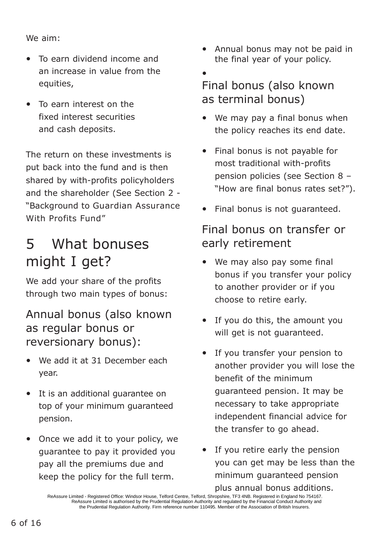We aim:

- To earn dividend income and an increase in value from the equities,
- To earn interest on the fixed interest securities and cash deposits.

The return on these investments is put back into the fund and is then shared by with-profits policyholders and the shareholder (See Section 2 - "Background to Guardian Assurance With Profits Fund"

## 5 What bonuses might I get?

We add your share of the profits through two main types of bonus:

#### Annual bonus (also known as regular bonus or reversionary bonus):

- We add it at 31 December each year.
- It is an additional guarantee on top of your minimum guaranteed pension.
- Once we add it to your policy, we guarantee to pay it provided you pay all the premiums due and keep the policy for the full term.
- Annual bonus may not be paid in the final year of your policy.
- Final bonus (also known as terminal bonus)
- We may pay a final bonus when the policy reaches its end date.
- Final bonus is not payable for most traditional with-profits pension policies (see Section 8 – "How are final bonus rates set?").
- Final bonus is not quaranteed.

#### Final bonus on transfer or early retirement

- We may also pay some final bonus if you transfer your policy to another provider or if you choose to retire early.
- If you do this, the amount you will get is not guaranteed.
- If you transfer your pension to another provider you will lose the benefit of the minimum guaranteed pension. It may be necessary to take appropriate independent financial advice for the transfer to go ahead.
- If you retire early the pension you can get may be less than the minimum guaranteed pension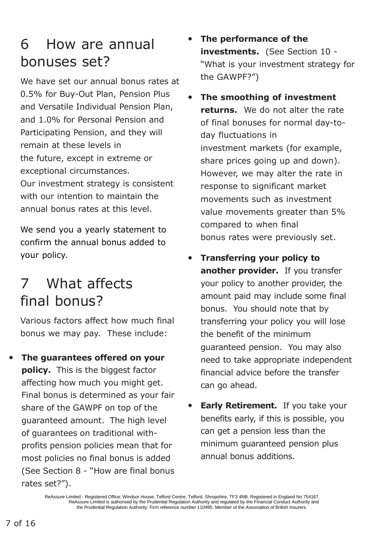#### 6 How are annual bonuses set?

We have set our annual bonus rates at 0.5% for Buy-Out Plan, Pension Plus and Versatile Individual Pension Plan, and 1.0% for Personal Pension and Participating Pension, and they will remain at these levels in the future, except in extreme or exceptional circumstances. Our investment strategy is consistent with our intention to maintain the annual bonus rates at this level.

We send you a yearly statement to confirm the annual bonus added to your policy.

## 7 What affects final bonus?

Various factors affect how much final bonus we may pay. These include:

• **The guarantees offered on your policy.** This is the biggest factor affecting how much you might get. Final bonus is determined as your fair share of the GAWPF on top of the guaranteed amount. The high level of guarantees on traditional withprofits pension policies mean that for most policies no final bonus is added (See Section 8 - "How are final bonus rates set?").

• **The performance of the investments.** (See Section 10 - "What is your investment strategy for the GAWPF?")

- **The smoothing of investment returns.** We do not alter the rate of final bonuses for normal day-today fluctuations in investment markets (for example, share prices going up and down). However, we may alter the rate in response to significant market movements such as investment value movements greater than 5% compared to when final bonus rates were previously set.
- **Transferring your policy to another provider.** If you transfer your policy to another provider, the amount paid may include some final bonus. You should note that by transferring your policy you will lose the benefit of the minimum guaranteed pension. You may also need to take appropriate independent financial advice before the transfer can go ahead.
- **Early Retirement.** If you take your benefits early, if this is possible, you can get a pension less than the minimum guaranteed pension plus annual bonus additions.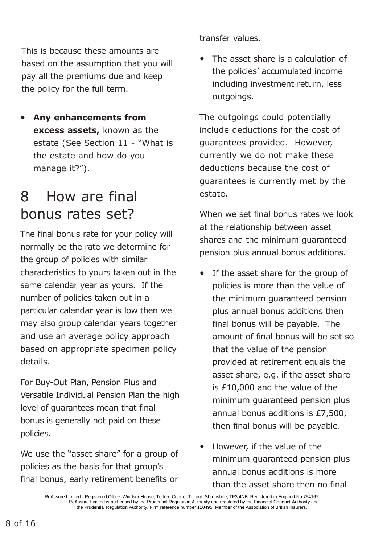This is because these amounts are based on the assumption that you will pay all the premiums due and keep the policy for the full term.

• **Any enhancements from excess assets,** known as the estate (See Section 11 - "What is the estate and how do you manage it?").

#### 8 How are final bonus rates set?

The final bonus rate for your policy will normally be the rate we determine for the group of policies with similar characteristics to yours taken out in the same calendar year as yours. If the number of policies taken out in a particular calendar year is low then we may also group calendar years together and use an average policy approach based on appropriate specimen policy details.

For Buy-Out Plan, Pension Plus and Versatile Individual Pension Plan the high level of guarantees mean that final bonus is generally not paid on these policies.

We use the "asset share" for a group of policies as the basis for that group's final bonus, early retirement benefits or transfer values.

• The asset share is a calculation of the policies' accumulated income including investment return, less outgoings.

The outgoings could potentially include deductions for the cost of guarantees provided. However, currently we do not make these deductions because the cost of guarantees is currently met by the estate.

When we set final bonus rates we look at the relationship between asset shares and the minimum guaranteed pension plus annual bonus additions.

- If the asset share for the group of policies is more than the value of the minimum guaranteed pension plus annual bonus additions then final bonus will be payable. The amount of final bonus will be set so that the value of the pension provided at retirement equals the asset share, e.g. if the asset share is £10,000 and the value of the minimum guaranteed pension plus annual bonus additions is £7,500, then final bonus will be payable.
- However, if the value of the minimum guaranteed pension plus annual bonus additions is more than the asset share then no final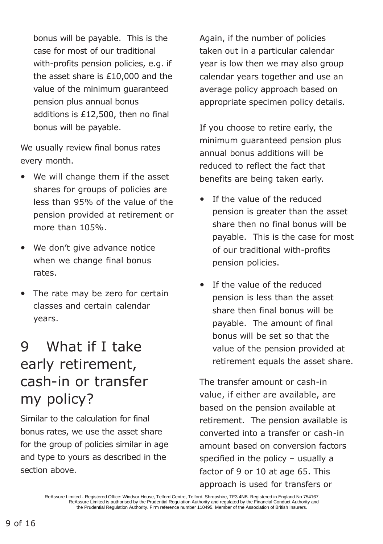bonus will be payable. This is the case for most of our traditional with-profits pension policies, e.g. if the asset share is £10,000 and the value of the minimum guaranteed pension plus annual bonus additions is £12,500, then no final bonus will be payable.

We usually review final bonus rates every month.

- We will change them if the asset shares for groups of policies are less than 95% of the value of the pension provided at retirement or more than 105%.
- We don't give advance notice when we change final bonus rates.
- The rate may be zero for certain classes and certain calendar years.

## 9 What if I take early retirement, cash-in or transfer my policy?

Similar to the calculation for final bonus rates, we use the asset share for the group of policies similar in age and type to yours as described in the section above.

Again, if the number of policies taken out in a particular calendar year is low then we may also group calendar years together and use an average policy approach based on appropriate specimen policy details.

If you choose to retire early, the minimum guaranteed pension plus annual bonus additions will be reduced to reflect the fact that benefits are being taken early.

- If the value of the reduced pension is greater than the asset share then no final bonus will be payable. This is the case for most of our traditional with-profits pension policies.
- If the value of the reduced pension is less than the asset share then final bonus will be payable. The amount of final bonus will be set so that the value of the pension provided at retirement equals the asset share.

The transfer amount or cash-in value, if either are available, are based on the pension available at retirement. The pension available is converted into a transfer or cash-in amount based on conversion factors specified in the policy  $-$  usually a factor of 9 or 10 at age 65. This approach is used for transfers or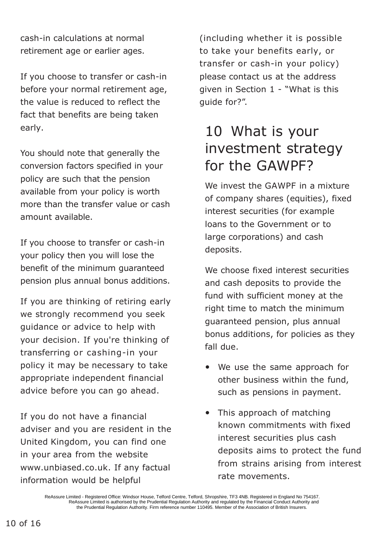cash-in calculations at normal retirement age or earlier ages.

If you choose to transfer or cash-in before your normal retirement age, the value is reduced to reflect the fact that benefits are being taken early.

You should note that generally the conversion factors specified in your policy are such that the pension available from your policy is worth more than the transfer value or cash amount available.

If you choose to transfer or cash-in your policy then you will lose the benefit of the minimum guaranteed pension plus annual bonus additions.

If you are thinking of retiring early we strongly recommend you seek guidance or advice to help with your decision. If you're thinking of transferring or cashing-in your policy it may be necessary to take appropriate independent financial advice before you can go ahead.

If you do not have a financial adviser and you are resident in the United Kingdom, you can find one in your area from the websit[e](http://www.unbiased.co.uk/) [www.unbiased.co.uk.](http://www.unbiased.co.uk/) If any factual information would be helpful

(including whether it is possible to take your benefits early, or transfer or cash-in your policy) please contact us at the address given in Section 1 - "What is this guide for?".

## 10 What is your investment strategy for the GAWPF?

We invest the GAWPF in a mixture of company shares (equities), fixed interest securities (for example loans to the Government or to large corporations) and cash deposits.

We choose fixed interest securities and cash deposits to provide the fund with sufficient money at the right time to match the minimum guaranteed pension, plus annual bonus additions, for policies as they fall due.

- We use the same approach for other business within the fund, such as pensions in payment.
- This approach of matching known commitments with fixed interest securities plus cash deposits aims to protect the fund from strains arising from interest rate movements.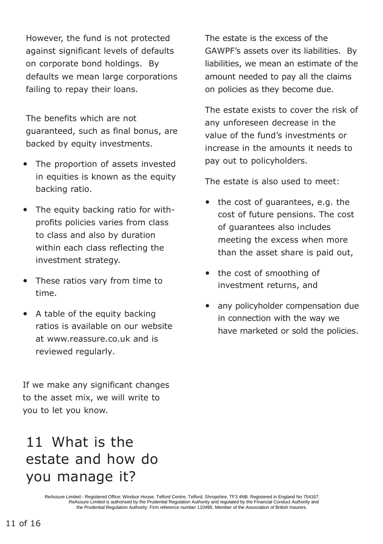However, the fund is not protected against significant levels of defaults on corporate bond holdings. By defaults we mean large corporations failing to repay their loans.

The benefits which are not guaranteed, such as final bonus, are backed by equity investments.

- The proportion of assets invested in equities is known as the equity backing ratio.
- The equity backing ratio for withprofits policies varies from class to class and also by duration within each class reflecting the investment strategy.
- These ratios vary from time to time.
- A table of the equity backing ratios is available on our website at [www.reassure.co.uk](http://www.reassure.co.uk/) and is reviewed regularly.

If we make any significant changes to the asset mix, we will write to you to let you know.

### 11 What is the estate and how do you manage it?

The estate is the excess of the GAWPF's assets over its liabilities. By liabilities, we mean an estimate of the amount needed to pay all the claims on policies as they become due.

The estate exists to cover the risk of any unforeseen decrease in the value of the fund's investments or increase in the amounts it needs to pay out to policyholders.

The estate is also used to meet:

- the cost of guarantees, e.g. the cost of future pensions. The cost of guarantees also includes meeting the excess when more than the asset share is paid out,
- the cost of smoothing of investment returns, and
- any policyholder compensation due in connection with the way we have marketed or sold the policies.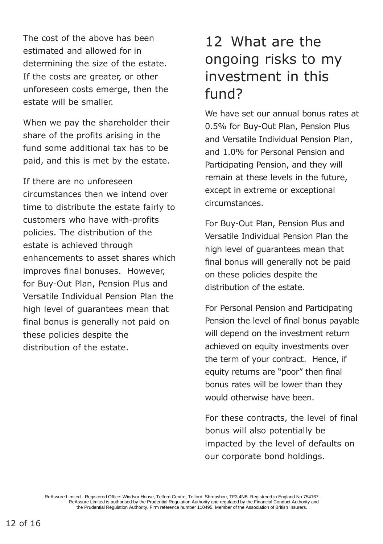The cost of the above has been estimated and allowed for in determining the size of the estate. If the costs are greater, or other unforeseen costs emerge, then the estate will be smaller.

When we pay the shareholder their share of the profits arising in the fund some additional tax has to be paid, and this is met by the estate.

If there are no unforeseen circumstances then we intend over time to distribute the estate fairly to customers who have with-profits policies. The distribution of the estate is achieved through enhancements to asset shares which improves final bonuses. However, for Buy-Out Plan, Pension Plus and Versatile Individual Pension Plan the high level of guarantees mean that final bonus is generally not paid on these policies despite the distribution of the estate.

#### 12 What are the ongoing risks to my investment in this fund?

We have set our annual bonus rates at 0.5% for Buy-Out Plan, Pension Plus and Versatile Individual Pension Plan, and 1.0% for Personal Pension and Participating Pension, and they will remain at these levels in the future, except in extreme or exceptional circumstances.

For Buy-Out Plan, Pension Plus and Versatile Individual Pension Plan the high level of guarantees mean that final bonus will generally not be paid on these policies despite the distribution of the estate.

For Personal Pension and Participating Pension the level of final bonus payable will depend on the investment return achieved on equity investments over the term of your contract. Hence, if equity returns are "poor" then final bonus rates will be lower than they would otherwise have been.

For these contracts, the level of final bonus will also potentially be impacted by the level of defaults on our corporate bond holdings.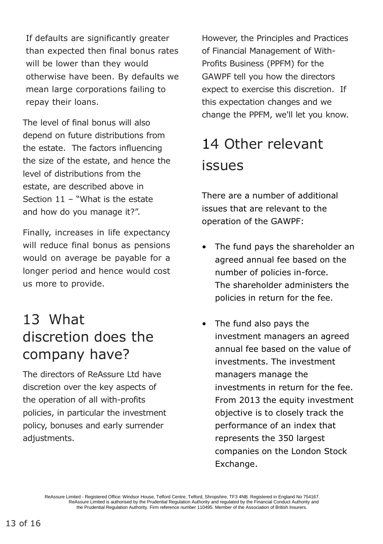If defaults are significantly greater than expected then final bonus rates will be lower than they would otherwise have been. By defaults we mean large corporations failing to repay their loans.

The level of final bonus will also depend on future distributions from the estate. The factors influencing the size of the estate, and hence the level of distributions from the estate, are described above in Section 11 – "What is the estate and how do you manage it?".

Finally, increases in life expectancy will reduce final bonus as pensions would on average be payable for a longer period and hence would cost us more to provide.

#### 13 What discretion does the company have?

The directors of ReAssure Ltd have discretion over the key aspects of the operation of all with-profits policies, in particular the investment policy, bonuses and early surrender adjustments.

However, the Principles and Practices of Financial Management of With-Profits Business (PPFM) for the GAWPF tell you how the directors expect to exercise this discretion. If this expectation changes and we change the PPFM, we'll let you know.

# 14 Other relevant issues

There are a number of additional issues that are relevant to the operation of the GAWPF:

- The fund pays the shareholder an agreed annual fee based on the number of policies in-force. The shareholder administers the policies in return for the fee.
- The fund also pays the investment managers an agreed annual fee based on the value of investments. The investment managers manage the investments in return for the fee. From 2013 the equity investment objective is to closely track the performance of an index that represents the 350 largest companies on the London Stock Exchange.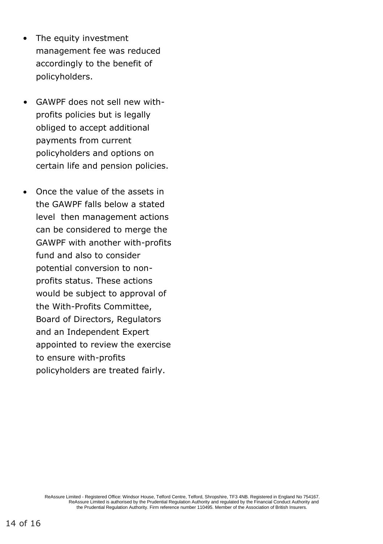- The equity investment management fee was reduced accordingly to the benefit of policyholders.
- GAWPF does not sell new withprofits policies but is legally obliged to accept additional payments from current policyholders and options on certain life and pension policies.
- Once the value of the assets in the GAWPF falls below a stated level then management actions can be considered to merge the GAWPF with another with-profits fund and also to consider potential conversion to nonprofits status. These actions would be subject to approval of the With-Profits Committee, Board of Directors, Regulators and an Independent Expert appointed to review the exercise to ensure with-profits policyholders are treated fairly.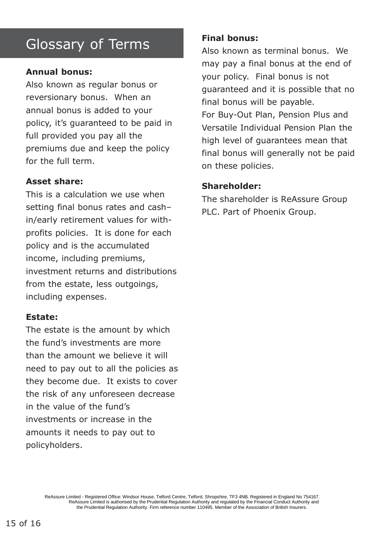### Glossary of Terms

#### **Annual bonus:**

Also known as regular bonus or reversionary bonus. When an annual bonus is added to your policy, it's guaranteed to be paid in full provided you pay all the premiums due and keep the policy for the full term.

#### **Asset share:**

This is a calculation we use when setting final bonus rates and cash– in/early retirement values for withprofits policies. It is done for each policy and is the accumulated income, including premiums, investment returns and distributions from the estate, less outgoings, including expenses.

#### **Estate:**

The estate is the amount by which the fund's investments are more than the amount we believe it will need to pay out to all the policies as they become due. It exists to cover the risk of any unforeseen decrease in the value of the fund's investments or increase in the amounts it needs to pay out to policyholders.

#### **Final bonus:**

Also known as terminal bonus. We may pay a final bonus at the end of your policy. Final bonus is not guaranteed and it is possible that no final bonus will be payable. For Buy-Out Plan, Pension Plus and Versatile Individual Pension Plan the high level of guarantees mean that final bonus will generally not be paid on these policies.

#### **Shareholder:**

The shareholder is ReAssure Group PLC. Part of Phoenix Group.